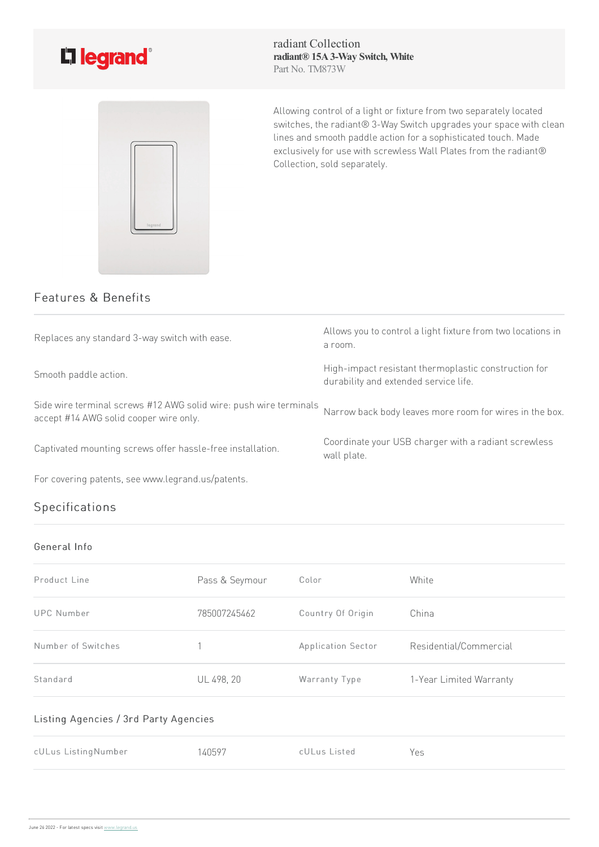



radiant Collection **radiant® 15A3-Way Switch, White** Part No. TM873W

Allowing control of a light or fixture from two separately located switches, the radiant® 3-Way Switch upgrades your space with clean lines and smooth paddle action for a sophisticated touch. Made exclusively for use with screwless Wall Plates from the radiant® Collection, sold separately.

## Features & Benefits

| Replaces any standard 3-way switch with ease.                                                               | Allows you to control a light fixture from two locations in<br>a room.                        |
|-------------------------------------------------------------------------------------------------------------|-----------------------------------------------------------------------------------------------|
| Smooth paddle action.                                                                                       | High-impact resistant thermoplastic construction for<br>durability and extended service life. |
| Side wire terminal screws #12 AWG solid wire: push wire terminals<br>accept #14 AWG solid cooper wire only. | Narrow back body leaves more room for wires in the box.                                       |
| Captivated mounting screws offer hassle-free installation.                                                  | Coordinate your USB charger with a radiant screwless<br>wall plate.                           |
| For covering patents, see www.legrand.us/patents.                                                           |                                                                                               |

# Specifications

#### General Info

| Product Line       | Pass & Seymour | Color              | White                   |
|--------------------|----------------|--------------------|-------------------------|
| UPC Number         | 785007245462   | Country Of Origin  | China                   |
| Number of Switches |                | Application Sector | Residential/Commercial  |
| Standard           | UL 498, 20     | Warranty Type      | 1-Year Limited Warranty |

#### Listing Agencies / 3rd Party Agencies

| cULus ListingNumber | 140597 | cULus Listed | Yes |
|---------------------|--------|--------------|-----|
|                     |        |              |     |